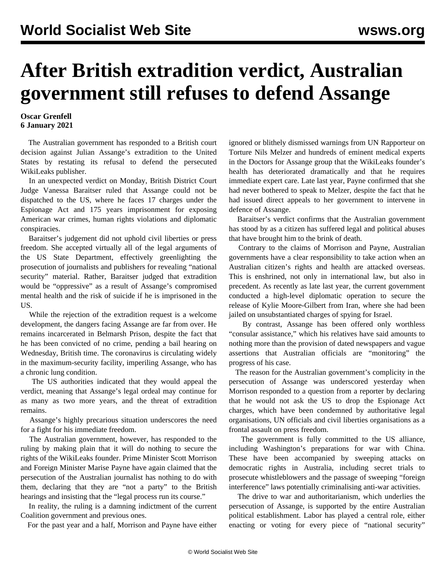## **After British extradition verdict, Australian government still refuses to defend Assange**

## **Oscar Grenfell 6 January 2021**

 The Australian government has responded to a British court decision against Julian Assange's extradition to the United States by restating its refusal to defend the persecuted WikiLeaks publisher.

 In an unexpected verdict on Monday, British District Court Judge Vanessa Baraitser ruled that Assange could not be dispatched to the US, where he faces 17 charges under the Espionage Act and 175 years imprisonment for exposing American war crimes, human rights violations and diplomatic conspiracies.

 Baraitser's judgement did not uphold civil liberties or press freedom. She accepted virtually all of the legal arguments of the US State Department, effectively greenlighting the prosecution of journalists and publishers for revealing "national security" material. Rather, Baraitser judged that extradition would be "oppressive" as a result of Assange's compromised mental health and the risk of suicide if he is imprisoned in the US.

 While the rejection of the extradition request is a welcome development, the dangers facing Assange are far from over. He remains incarcerated in Belmarsh Prison, despite the fact that he has been convicted of no crime, pending a bail hearing on Wednesday, British time. The coronavirus is circulating widely in the maximum-security facility, imperiling Assange, who has a chronic lung condition.

 The US authorities indicated that they would appeal the verdict, meaning that Assange's legal ordeal may continue for as many as two more years, and the threat of extradition remains.

 Assange's highly precarious situation underscores the need for a fight for his immediate freedom.

 The Australian government, however, has responded to the ruling by making plain that it will do nothing to secure the rights of the WikiLeaks founder. Prime Minister Scott Morrison and Foreign Minister Marise Payne have again claimed that the persecution of the Australian journalist has nothing to do with them, declaring that they are "not a party" to the British hearings and insisting that the "legal process run its course."

 In reality, the ruling is a damning indictment of the current Coalition government and previous ones.

For the past year and a half, Morrison and Payne have either

ignored or blithely dismissed warnings from UN Rapporteur on Torture Nils Melzer and hundreds of eminent medical experts in the Doctors for Assange group that the WikiLeaks founder's health has deteriorated dramatically and that he requires immediate expert care. Late last year, Payne confirmed that she had never bothered to speak to Melzer, despite the fact that he had issued direct appeals to her government to intervene in defence of Assange.

 Baraitser's verdict confirms that the Australian government has stood by as a citizen has suffered legal and political abuses that have brought him to the brink of death.

 Contrary to the claims of Morrison and Payne, Australian governments have a clear responsibility to take action when an Australian citizen's rights and health are attacked overseas. This is enshrined, not only in international law, but also in precedent. As recently as late last year, the current government conducted a high-level diplomatic operation to secure the release of Kylie Moore-Gilbert from Iran, where she had been jailed on unsubstantiated charges of spying for Israel.

 By contrast, Assange has been offered only worthless "consular assistance," which his relatives have said amounts to nothing more than the provision of dated newspapers and vague assertions that Australian officials are "monitoring" the progress of his case.

 The reason for the Australian government's complicity in the persecution of Assange was underscored yesterday when Morrison responded to a question from a reporter by declaring that he would not ask the US to drop the Espionage Act charges, which have been condemned by authoritative legal organisations, UN officials and civil liberties organisations as a frontal assault on press freedom.

 The government is fully committed to the US alliance, including Washington's preparations for war with China. These have been accompanied by sweeping attacks on democratic rights in Australia, including secret trials to prosecute whistleblowers and the passage of sweeping "foreign interference" laws potentially criminalising anti-war activities.

 The drive to war and authoritarianism, which underlies the persecution of Assange, is supported by the entire Australian political establishment. Labor has played a central role, either enacting or voting for every piece of "national security"